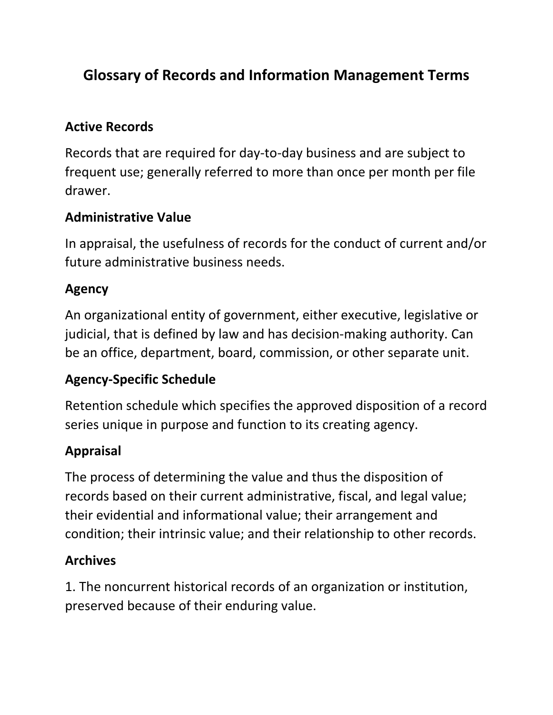# **Glossary of Records and Information Management Terms**

#### **Active Records**

Records that are required for day-to-day business and are subject to frequent use; generally referred to more than once per month per file drawer.

#### **Administrative Value**

In appraisal, the usefulness of records for the conduct of current and/or future administrative business needs.

#### **Agency**

An organizational entity of government, either executive, legislative or judicial, that is defined by law and has decision-making authority. Can be an office, department, board, commission, or other separate unit.

#### **Agency-Specific Schedule**

Retention schedule which specifies the approved disposition of a record series unique in purpose and function to its creating agency.

#### **Appraisal**

The process of determining the value and thus the disposition of records based on their current administrative, fiscal, and legal value; their evidential and informational value; their arrangement and condition; their intrinsic value; and their relationship to other records.

#### **Archives**

1. The noncurrent historical records of an organization or institution, preserved because of their enduring value.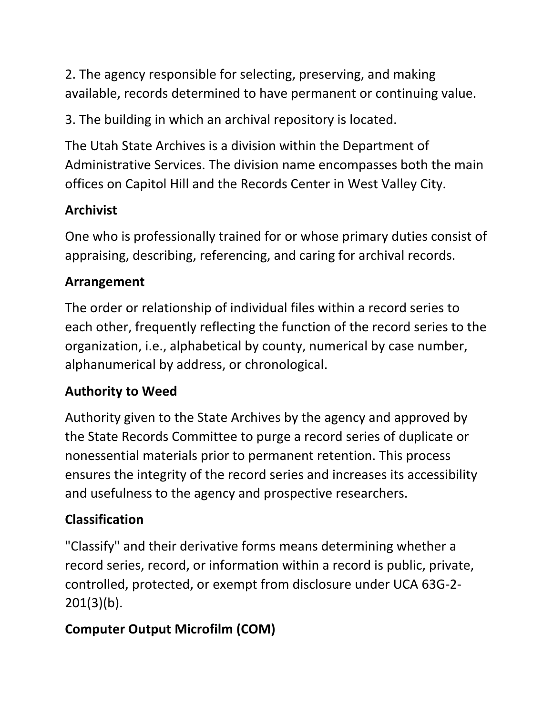2. The agency responsible for selecting, preserving, and making available, records determined to have permanent or continuing value.

3. The building in which an archival repository is located.

The Utah State Archives is a division within the Department of Administrative Services. The division name encompasses both the main offices on Capitol Hill and the Records Center in West Valley City.

## **Archivist**

One who is professionally trained for or whose primary duties consist of appraising, describing, referencing, and caring for archival records.

## **Arrangement**

The order or relationship of individual files within a record series to each other, frequently reflecting the function of the record series to the organization, i.e., alphabetical by county, numerical by case number, alphanumerical by address, or chronological.

## **Authority to Weed**

Authority given to the State Archives by the agency and approved by the State Records Committee to purge a record series of duplicate or nonessential materials prior to permanent retention. This process ensures the integrity of the record series and increases its accessibility and usefulness to the agency and prospective researchers.

## **Classification**

"Classify" and their derivative forms means determining whether a record series, record, or information within a record is public, private, controlled, protected, or exempt from disclosure under UCA 63G-2- 201(3)(b).

# **Computer Output Microfilm (COM)**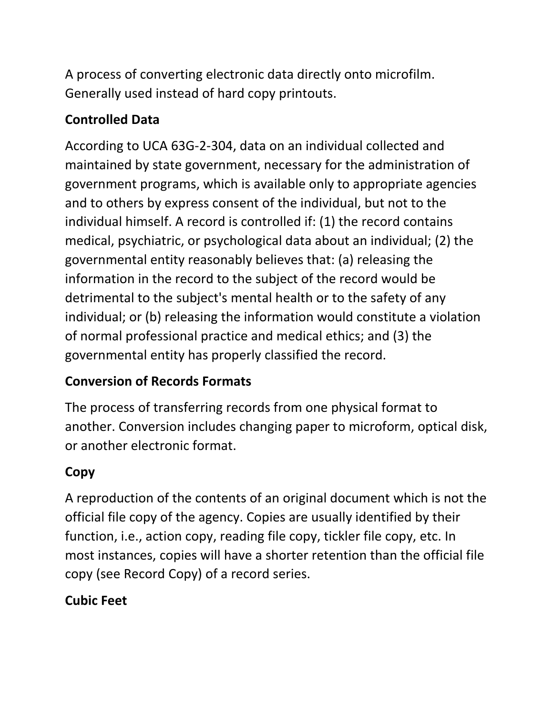A process of converting electronic data directly onto microfilm. Generally used instead of hard copy printouts.

# **Controlled Data**

According to UCA 63G-2-304, data on an individual collected and maintained by state government, necessary for the administration of government programs, which is available only to appropriate agencies and to others by express consent of the individual, but not to the individual himself. A record is controlled if: (1) the record contains medical, psychiatric, or psychological data about an individual; (2) the governmental entity reasonably believes that: (a) releasing the information in the record to the subject of the record would be detrimental to the subject's mental health or to the safety of any individual; or (b) releasing the information would constitute a violation of normal professional practice and medical ethics; and (3) the governmental entity has properly classified the record.

## **Conversion of Records Formats**

The process of transferring records from one physical format to another. Conversion includes changing paper to microform, optical disk, or another electronic format.

## **Copy**

A reproduction of the contents of an original document which is not the official file copy of the agency. Copies are usually identified by their function, i.e., action copy, reading file copy, tickler file copy, etc. In most instances, copies will have a shorter retention than the official file copy (see Record Copy) of a record series.

## **Cubic Feet**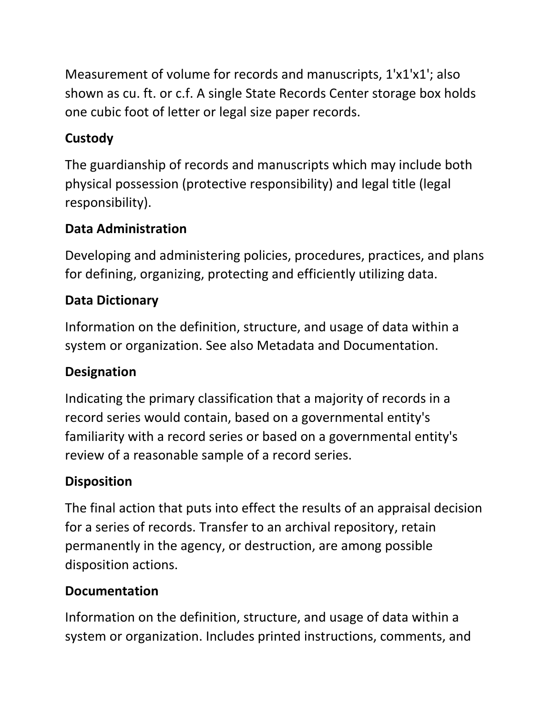Measurement of volume for records and manuscripts, 1'x1'x1'; also shown as cu. ft. or c.f. A single State Records Center storage box holds one cubic foot of letter or legal size paper records.

## **Custody**

The guardianship of records and manuscripts which may include both physical possession (protective responsibility) and legal title (legal responsibility).

### **Data Administration**

Developing and administering policies, procedures, practices, and plans for defining, organizing, protecting and efficiently utilizing data.

## **Data Dictionary**

Information on the definition, structure, and usage of data within a system or organization. See also Metadata and Documentation.

# **Designation**

Indicating the primary classification that a majority of records in a record series would contain, based on a governmental entity's familiarity with a record series or based on a governmental entity's review of a reasonable sample of a record series.

## **Disposition**

The final action that puts into effect the results of an appraisal decision for a series of records. Transfer to an archival repository, retain permanently in the agency, or destruction, are among possible disposition actions.

## **Documentation**

Information on the definition, structure, and usage of data within a system or organization. Includes printed instructions, comments, and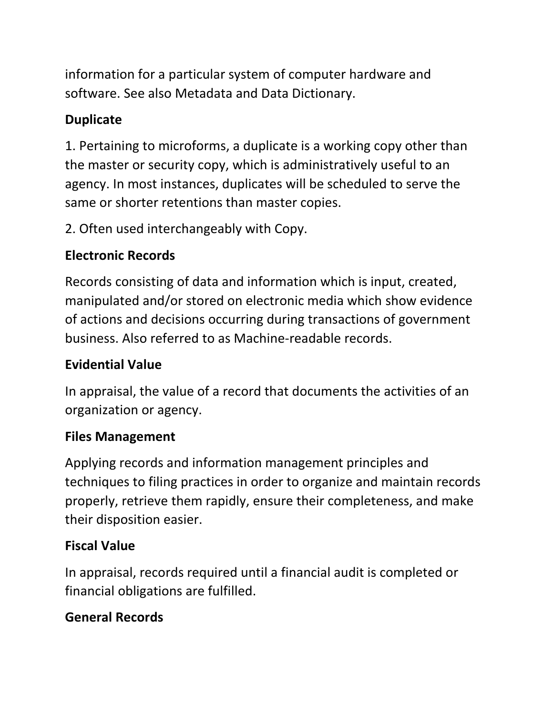information for a particular system of computer hardware and software. See also Metadata and Data Dictionary.

## **Duplicate**

1. Pertaining to microforms, a duplicate is a working copy other than the master or security copy, which is administratively useful to an agency. In most instances, duplicates will be scheduled to serve the same or shorter retentions than master copies.

2. Often used interchangeably with Copy.

#### **Electronic Records**

Records consisting of data and information which is input, created, manipulated and/or stored on electronic media which show evidence of actions and decisions occurring during transactions of government business. Also referred to as Machine-readable records.

#### **Evidential Value**

In appraisal, the value of a record that documents the activities of an organization or agency.

#### **Files Management**

Applying records and information management principles and techniques to filing practices in order to organize and maintain records properly, retrieve them rapidly, ensure their completeness, and make their disposition easier.

#### **Fiscal Value**

In appraisal, records required until a financial audit is completed or financial obligations are fulfilled.

### **General Records**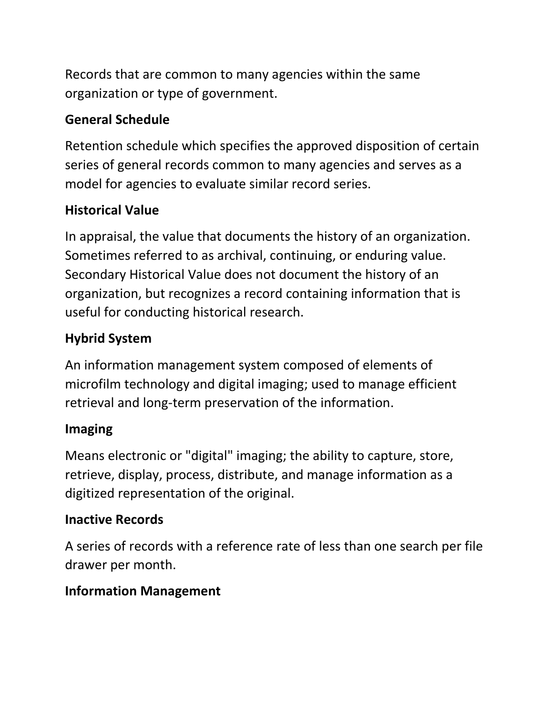Records that are common to many agencies within the same organization or type of government.

### **General Schedule**

Retention schedule which specifies the approved disposition of certain series of general records common to many agencies and serves as a model for agencies to evaluate similar record series.

## **Historical Value**

In appraisal, the value that documents the history of an organization. Sometimes referred to as archival, continuing, or enduring value. Secondary Historical Value does not document the history of an organization, but recognizes a record containing information that is useful for conducting historical research.

# **Hybrid System**

An information management system composed of elements of microfilm technology and digital imaging; used to manage efficient retrieval and long-term preservation of the information.

## **Imaging**

Means electronic or "digital" imaging; the ability to capture, store, retrieve, display, process, distribute, and manage information as a digitized representation of the original.

### **Inactive Records**

A series of records with a reference rate of less than one search per file drawer per month.

## **Information Management**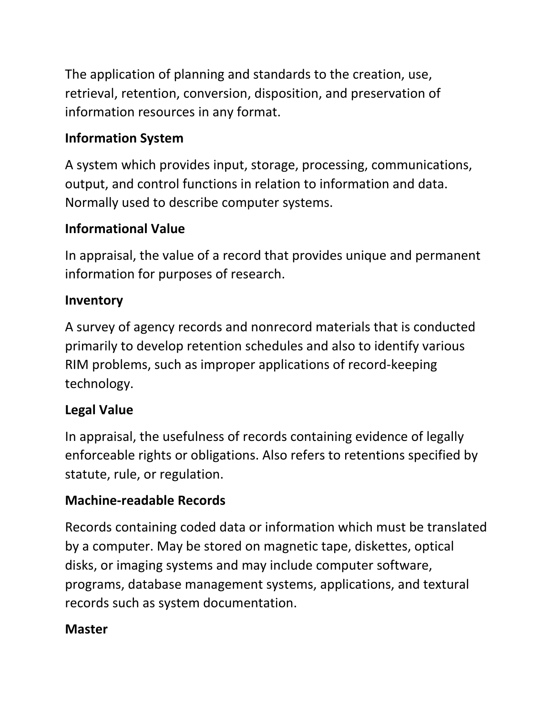The application of planning and standards to the creation, use, retrieval, retention, conversion, disposition, and preservation of information resources in any format.

#### **Information System**

A system which provides input, storage, processing, communications, output, and control functions in relation to information and data. Normally used to describe computer systems.

#### **Informational Value**

In appraisal, the value of a record that provides unique and permanent information for purposes of research.

#### **Inventory**

A survey of agency records and nonrecord materials that is conducted primarily to develop retention schedules and also to identify various RIM problems, such as improper applications of record-keeping technology.

#### **Legal Value**

In appraisal, the usefulness of records containing evidence of legally enforceable rights or obligations. Also refers to retentions specified by statute, rule, or regulation.

#### **Machine-readable Records**

Records containing coded data or information which must be translated by a computer. May be stored on magnetic tape, diskettes, optical disks, or imaging systems and may include computer software, programs, database management systems, applications, and textural records such as system documentation.

#### **Master**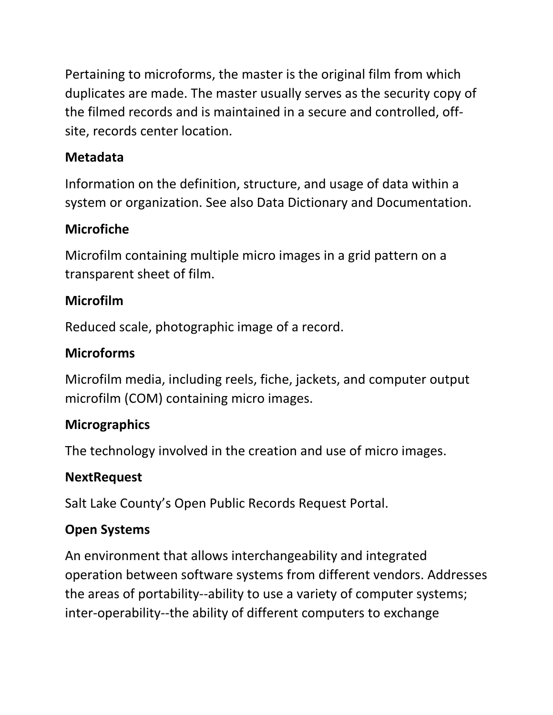Pertaining to microforms, the master is the original film from which duplicates are made. The master usually serves as the security copy of the filmed records and is maintained in a secure and controlled, offsite, records center location.

#### **Metadata**

Information on the definition, structure, and usage of data within a system or organization. See also Data Dictionary and Documentation.

#### **Microfiche**

Microfilm containing multiple micro images in a grid pattern on a transparent sheet of film.

### **Microfilm**

Reduced scale, photographic image of a record.

### **Microforms**

Microfilm media, including reels, fiche, jackets, and computer output microfilm (COM) containing micro images.

### **Micrographics**

The technology involved in the creation and use of micro images.

### **NextRequest**

Salt Lake County's Open Public Records Request Portal.

## **Open Systems**

An environment that allows interchangeability and integrated operation between software systems from different vendors. Addresses the areas of portability--ability to use a variety of computer systems; inter-operability--the ability of different computers to exchange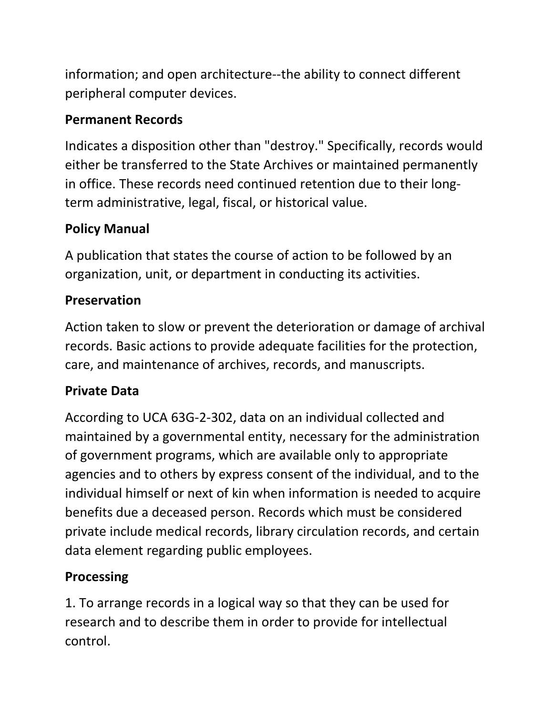information; and open architecture--the ability to connect different peripheral computer devices.

### **Permanent Records**

Indicates a disposition other than "destroy." Specifically, records would either be transferred to the State Archives or maintained permanently in office. These records need continued retention due to their longterm administrative, legal, fiscal, or historical value.

# **Policy Manual**

A publication that states the course of action to be followed by an organization, unit, or department in conducting its activities.

# **Preservation**

Action taken to slow or prevent the deterioration or damage of archival records. Basic actions to provide adequate facilities for the protection, care, and maintenance of archives, records, and manuscripts.

# **Private Data**

According to UCA 63G-2-302, data on an individual collected and maintained by a governmental entity, necessary for the administration of government programs, which are available only to appropriate agencies and to others by express consent of the individual, and to the individual himself or next of kin when information is needed to acquire benefits due a deceased person. Records which must be considered private include medical records, library circulation records, and certain data element regarding public employees.

# **Processing**

1. To arrange records in a logical way so that they can be used for research and to describe them in order to provide for intellectual control.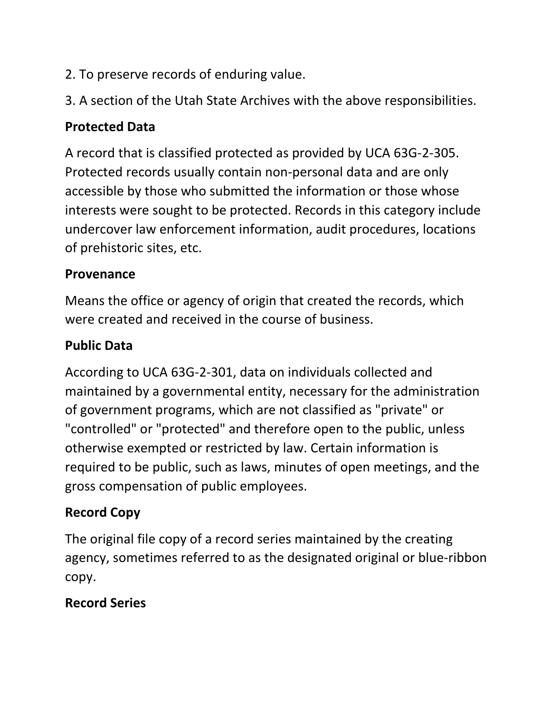- 2. To preserve records of enduring value.
- 3. A section of the Utah State Archives with the above responsibilities.

### **Protected Data**

A record that is classified protected as provided by UCA 63G-2-305. Protected records usually contain non-personal data and are only accessible by those who submitted the information or those whose interests were sought to be protected. Records in this category include undercover law enforcement information, audit procedures, locations of prehistoric sites, etc.

#### **Provenance**

Means the office or agency of origin that created the records, which were created and received in the course of business.

#### **Public Data**

According to UCA 63G-2-301, data on individuals collected and maintained by a governmental entity, necessary for the administration of government programs, which are not classified as "private" or "controlled" or "protected" and therefore open to the public, unless otherwise exempted or restricted by law. Certain information is required to be public, such as laws, minutes of open meetings, and the gross compensation of public employees.

### **Record Copy**

The original file copy of a record series maintained by the creating agency, sometimes referred to as the designated original or blue-ribbon copy.

### **Record Series**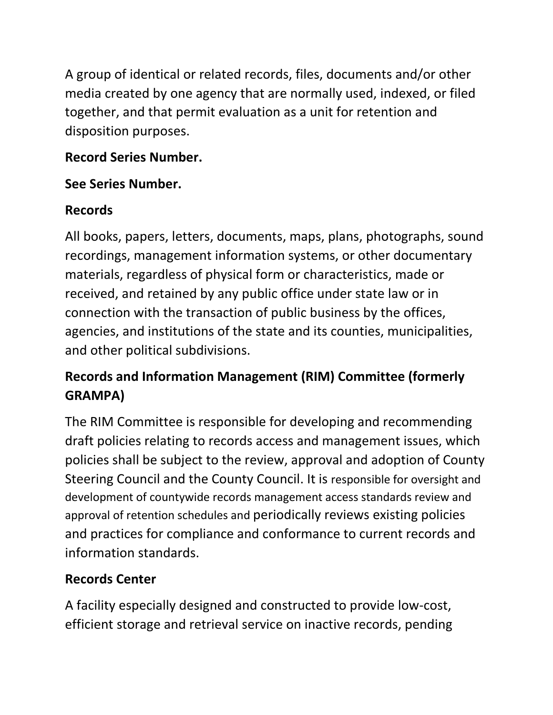A group of identical or related records, files, documents and/or other media created by one agency that are normally used, indexed, or filed together, and that permit evaluation as a unit for retention and disposition purposes.

#### **Record Series Number.**

#### **See Series Number.**

## **Records**

All books, papers, letters, documents, maps, plans, photographs, sound recordings, management information systems, or other documentary materials, regardless of physical form or characteristics, made or received, and retained by any public office under state law or in connection with the transaction of public business by the offices, agencies, and institutions of the state and its counties, municipalities, and other political subdivisions.

# **Records and Information Management (RIM) Committee (formerly GRAMPA)**

The RIM Committee is responsible for developing and recommending draft policies relating to records access and management issues, which policies shall be subject to the review, approval and adoption of County Steering Council and the County Council. It is responsible for oversight and development of countywide records management access standards review and approval of retention schedules and periodically reviews existing policies and practices for compliance and conformance to current records and information standards.

## **Records Center**

A facility especially designed and constructed to provide low-cost, efficient storage and retrieval service on inactive records, pending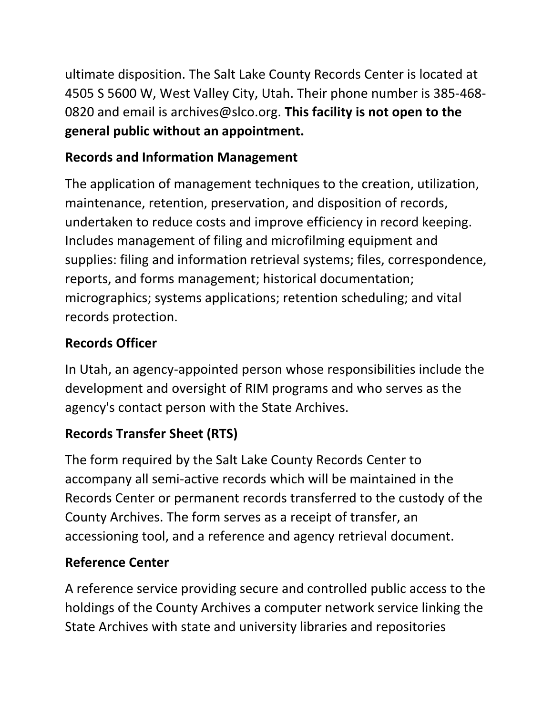ultimate disposition. The Salt Lake County Records Center is located at 4505 S 5600 W, West Valley City, Utah. Their phone number is 385-468- 0820 and email is archives@slco.org. **This facility is not open to the general public without an appointment.**

## **Records and Information Management**

The application of management techniques to the creation, utilization, maintenance, retention, preservation, and disposition of records, undertaken to reduce costs and improve efficiency in record keeping. Includes management of filing and microfilming equipment and supplies: filing and information retrieval systems; files, correspondence, reports, and forms management; historical documentation; micrographics; systems applications; retention scheduling; and vital records protection.

### **Records Officer**

In Utah, an agency-appointed person whose responsibilities include the development and oversight of RIM programs and who serves as the agency's contact person with the State Archives.

## **Records Transfer Sheet (RTS)**

The form required by the Salt Lake County Records Center to accompany all semi-active records which will be maintained in the Records Center or permanent records transferred to the custody of the County Archives. The form serves as a receipt of transfer, an accessioning tool, and a reference and agency retrieval document.

## **Reference Center**

A reference service providing secure and controlled public access to the holdings of the County Archives a computer network service linking the State Archives with state and university libraries and repositories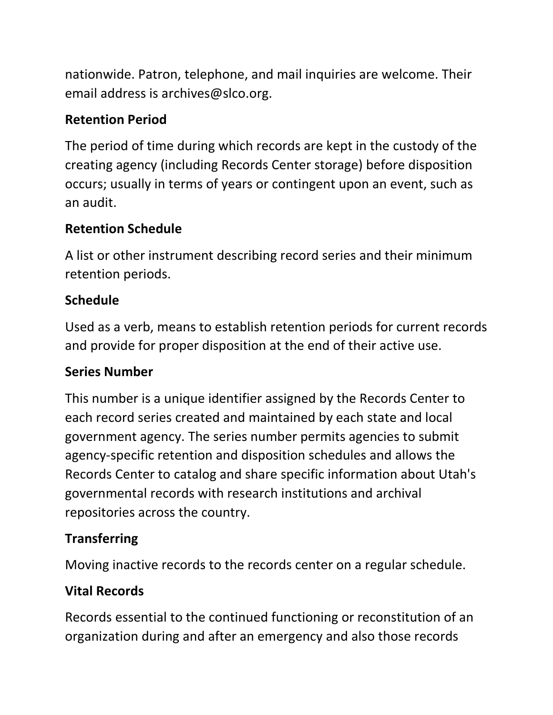nationwide. Patron, telephone, and mail inquiries are welcome. Their email address is archives@slco.org.

### **Retention Period**

The period of time during which records are kept in the custody of the creating agency (including Records Center storage) before disposition occurs; usually in terms of years or contingent upon an event, such as an audit.

### **Retention Schedule**

A list or other instrument describing record series and their minimum retention periods.

#### **Schedule**

Used as a verb, means to establish retention periods for current records and provide for proper disposition at the end of their active use.

#### **Series Number**

This number is a unique identifier assigned by the Records Center to each record series created and maintained by each state and local government agency. The series number permits agencies to submit agency-specific retention and disposition schedules and allows the Records Center to catalog and share specific information about Utah's governmental records with research institutions and archival repositories across the country.

### **Transferring**

Moving inactive records to the records center on a regular schedule.

## **Vital Records**

Records essential to the continued functioning or reconstitution of an organization during and after an emergency and also those records